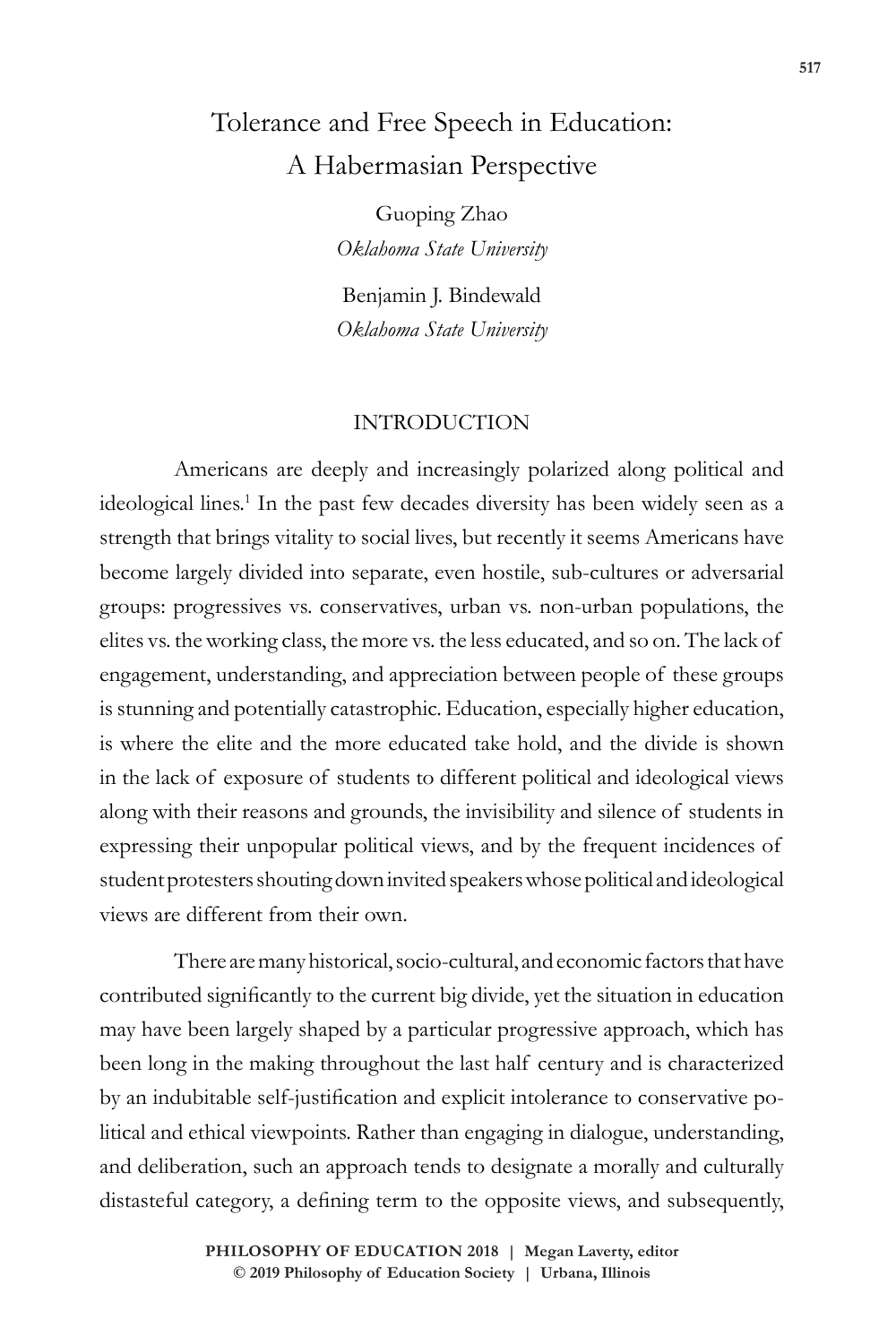# Tolerance and Free Speech in Education: A Habermasian Perspective

Guoping Zhao *Oklahoma State University*

Benjamin J. Bindewald *Oklahoma State University*

#### INTRODUCTION

Americans are deeply and increasingly polarized along political and ideological lines.<sup>1</sup> In the past few decades diversity has been widely seen as a strength that brings vitality to social lives, but recently it seems Americans have become largely divided into separate, even hostile, sub-cultures or adversarial groups: progressives vs. conservatives, urban vs. non-urban populations, the elites vs. the working class, the more vs. the less educated, and so on. The lack of engagement, understanding, and appreciation between people of these groups is stunning and potentially catastrophic. Education, especially higher education, is where the elite and the more educated take hold, and the divide is shown in the lack of exposure of students to different political and ideological views along with their reasons and grounds, the invisibility and silence of students in expressing their unpopular political views, and by the frequent incidences of student protesters shouting down invited speakers whose political and ideological views are different from their own.

There are many historical, socio-cultural, and economic factors that have contributed significantly to the current big divide, yet the situation in education may have been largely shaped by a particular progressive approach, which has been long in the making throughout the last half century and is characterized by an indubitable self-justification and explicit intolerance to conservative political and ethical viewpoints. Rather than engaging in dialogue, understanding, and deliberation, such an approach tends to designate a morally and culturally distasteful category, a defining term to the opposite views, and subsequently,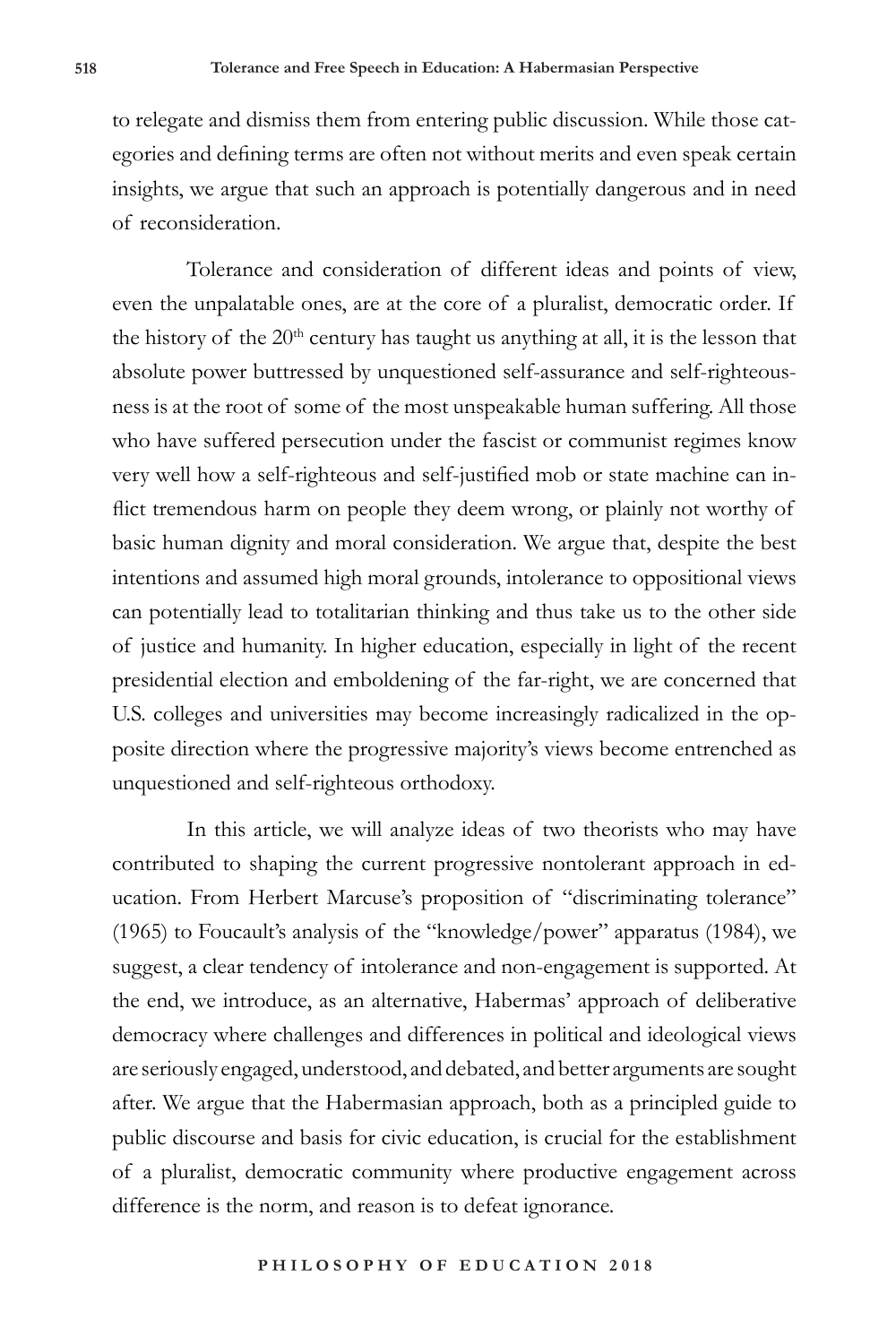to relegate and dismiss them from entering public discussion. While those categories and defining terms are often not without merits and even speak certain insights, we argue that such an approach is potentially dangerous and in need of reconsideration.

Tolerance and consideration of different ideas and points of view, even the unpalatable ones, are at the core of a pluralist, democratic order. If the history of the  $20<sup>th</sup>$  century has taught us anything at all, it is the lesson that absolute power buttressed by unquestioned self-assurance and self-righteousness is at the root of some of the most unspeakable human suffering. All those who have suffered persecution under the fascist or communist regimes know very well how a self-righteous and self-justified mob or state machine can inflict tremendous harm on people they deem wrong, or plainly not worthy of basic human dignity and moral consideration. We argue that, despite the best intentions and assumed high moral grounds, intolerance to oppositional views can potentially lead to totalitarian thinking and thus take us to the other side of justice and humanity. In higher education, especially in light of the recent presidential election and emboldening of the far-right, we are concerned that U.S. colleges and universities may become increasingly radicalized in the opposite direction where the progressive majority's views become entrenched as unquestioned and self-righteous orthodoxy.

In this article, we will analyze ideas of two theorists who may have contributed to shaping the current progressive nontolerant approach in education. From Herbert Marcuse's proposition of "discriminating tolerance" (1965) to Foucault's analysis of the "knowledge/power" apparatus (1984), we suggest, a clear tendency of intolerance and non-engagement is supported. At the end, we introduce, as an alternative, Habermas' approach of deliberative democracy where challenges and differences in political and ideological views are seriously engaged, understood, and debated, and better arguments are sought after. We argue that the Habermasian approach, both as a principled guide to public discourse and basis for civic education, is crucial for the establishment of a pluralist, democratic community where productive engagement across difference is the norm, and reason is to defeat ignorance.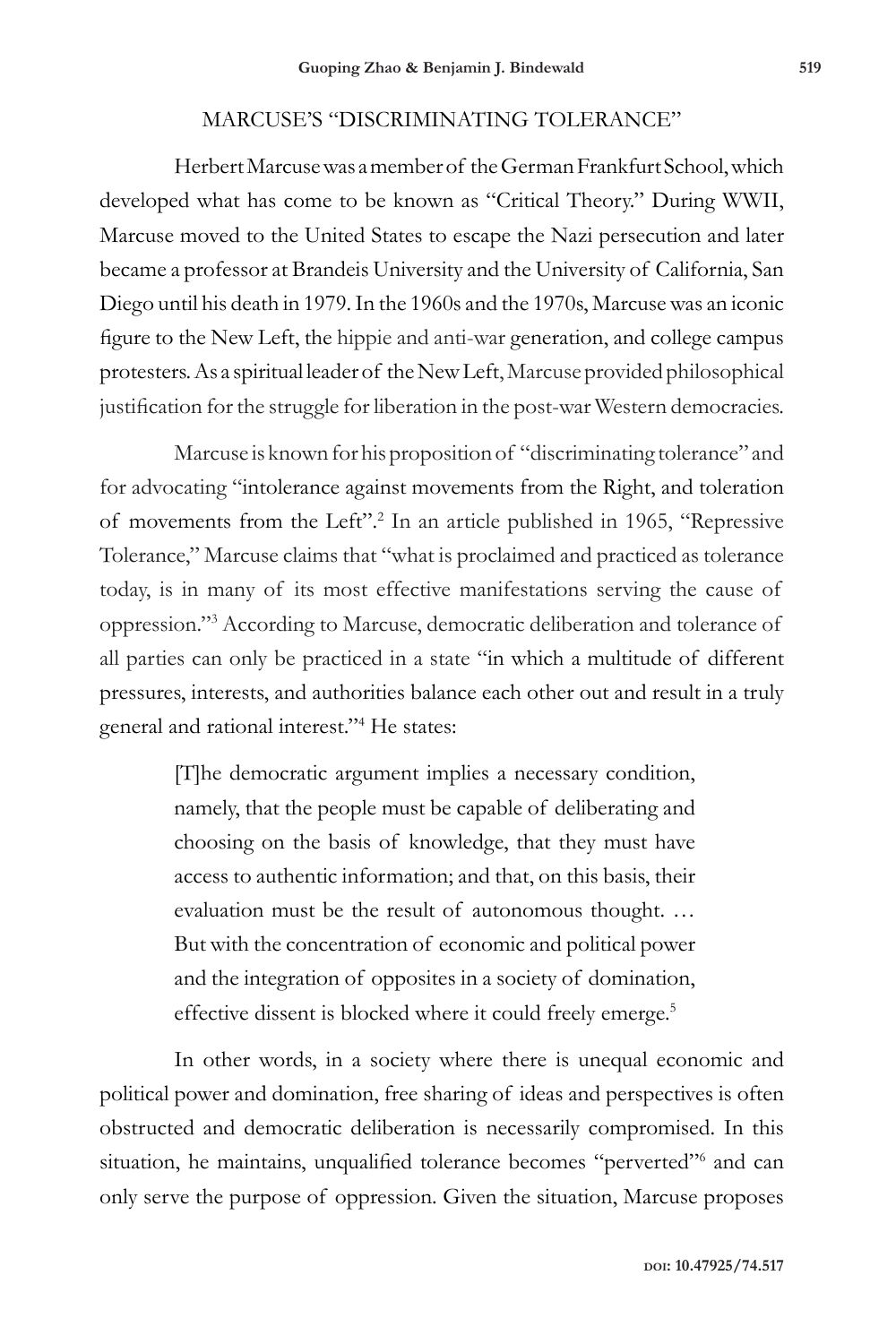### MARCUSE'S "DISCRIMINATING TOLERANCE"

Herbert Marcuse was a member of the German Frankfurt School, which developed what has come to be known as "Critical Theory." During WWII, Marcuse moved to the United States to escape the Nazi persecution and later became a professor at Brandeis University and the University of California, San Diego until his death in 1979. In the 1960s and the 1970s, Marcuse was an iconic figure to the New Left, the hippie and anti-war generation, and college campus protesters. As a spiritual leader of the New Left, Marcuse provided philosophical justification for the struggle for liberation in the post-war Western democracies.

Marcuse is known for his proposition of "discriminating tolerance" and for advocating "intolerance against movements from the Right, and toleration of movements from the Left".2 In an article published in 1965, "Repressive Tolerance," Marcuse claims that "what is proclaimed and practiced as tolerance today, is in many of its most effective manifestations serving the cause of oppression."3 According to Marcuse, democratic deliberation and tolerance of all parties can only be practiced in a state "in which a multitude of different pressures, interests, and authorities balance each other out and result in a truly general and rational interest."4 He states:

> [T]he democratic argument implies a necessary condition, namely, that the people must be capable of deliberating and choosing on the basis of knowledge, that they must have access to authentic information; and that, on this basis, their evaluation must be the result of autonomous thought. … But with the concentration of economic and political power and the integration of opposites in a society of domination, effective dissent is blocked where it could freely emerge.<sup>5</sup>

In other words, in a society where there is unequal economic and political power and domination, free sharing of ideas and perspectives is often obstructed and democratic deliberation is necessarily compromised. In this situation, he maintains, unqualified tolerance becomes "perverted"<sup>6</sup> and can only serve the purpose of oppression. Given the situation, Marcuse proposes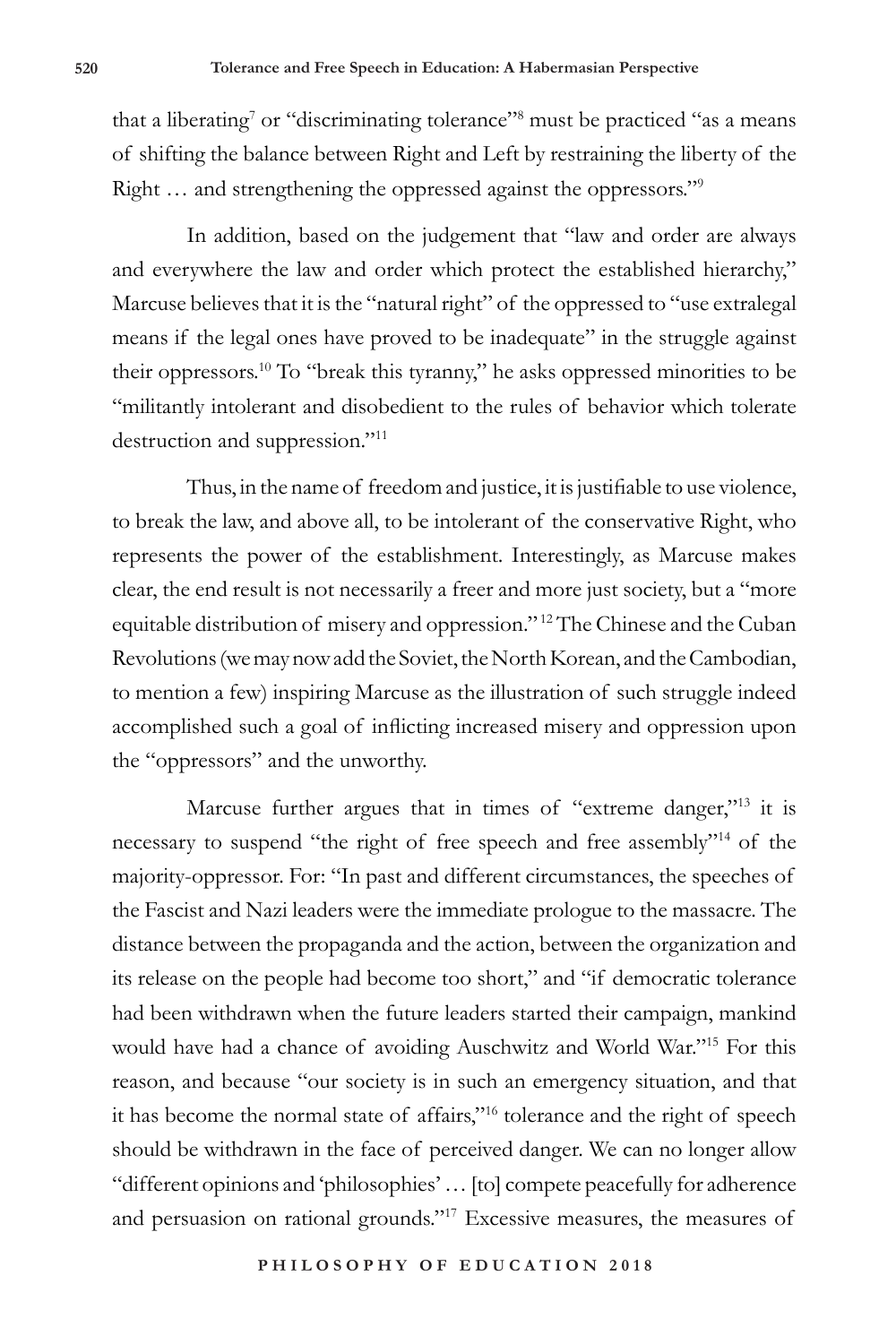that a liberating<sup>7</sup> or "discriminating tolerance"<sup>8</sup> must be practiced "as a means of shifting the balance between Right and Left by restraining the liberty of the Right … and strengthening the oppressed against the oppressors."9

In addition, based on the judgement that "law and order are always and everywhere the law and order which protect the established hierarchy," Marcuse believes that it is the "natural right" of the oppressed to "use extralegal means if the legal ones have proved to be inadequate" in the struggle against their oppressors.10 To "break this tyranny," he asks oppressed minorities to be "militantly intolerant and disobedient to the rules of behavior which tolerate destruction and suppression."11

Thus, in the name of freedom and justice, it is justifiable to use violence, to break the law, and above all, to be intolerant of the conservative Right, who represents the power of the establishment. Interestingly, as Marcuse makes clear, the end result is not necessarily a freer and more just society, but a "more equitable distribution of misery and oppression." 12 The Chinese and the Cuban Revolutions (we may now add the Soviet, the North Korean, and the Cambodian, to mention a few) inspiring Marcuse as the illustration of such struggle indeed accomplished such a goal of inflicting increased misery and oppression upon the "oppressors" and the unworthy.

Marcuse further argues that in times of "extreme danger,"<sup>13</sup> it is necessary to suspend "the right of free speech and free assembly"14 of the majority-oppressor. For: "In past and different circumstances, the speeches of the Fascist and Nazi leaders were the immediate prologue to the massacre. The distance between the propaganda and the action, between the organization and its release on the people had become too short," and "if democratic tolerance had been withdrawn when the future leaders started their campaign, mankind would have had a chance of avoiding Auschwitz and World War."15 For this reason, and because "our society is in such an emergency situation, and that it has become the normal state of affairs,"16 tolerance and the right of speech should be withdrawn in the face of perceived danger. We can no longer allow "different opinions and 'philosophies' … [to] compete peacefully for adherence and persuasion on rational grounds."17 Excessive measures, the measures of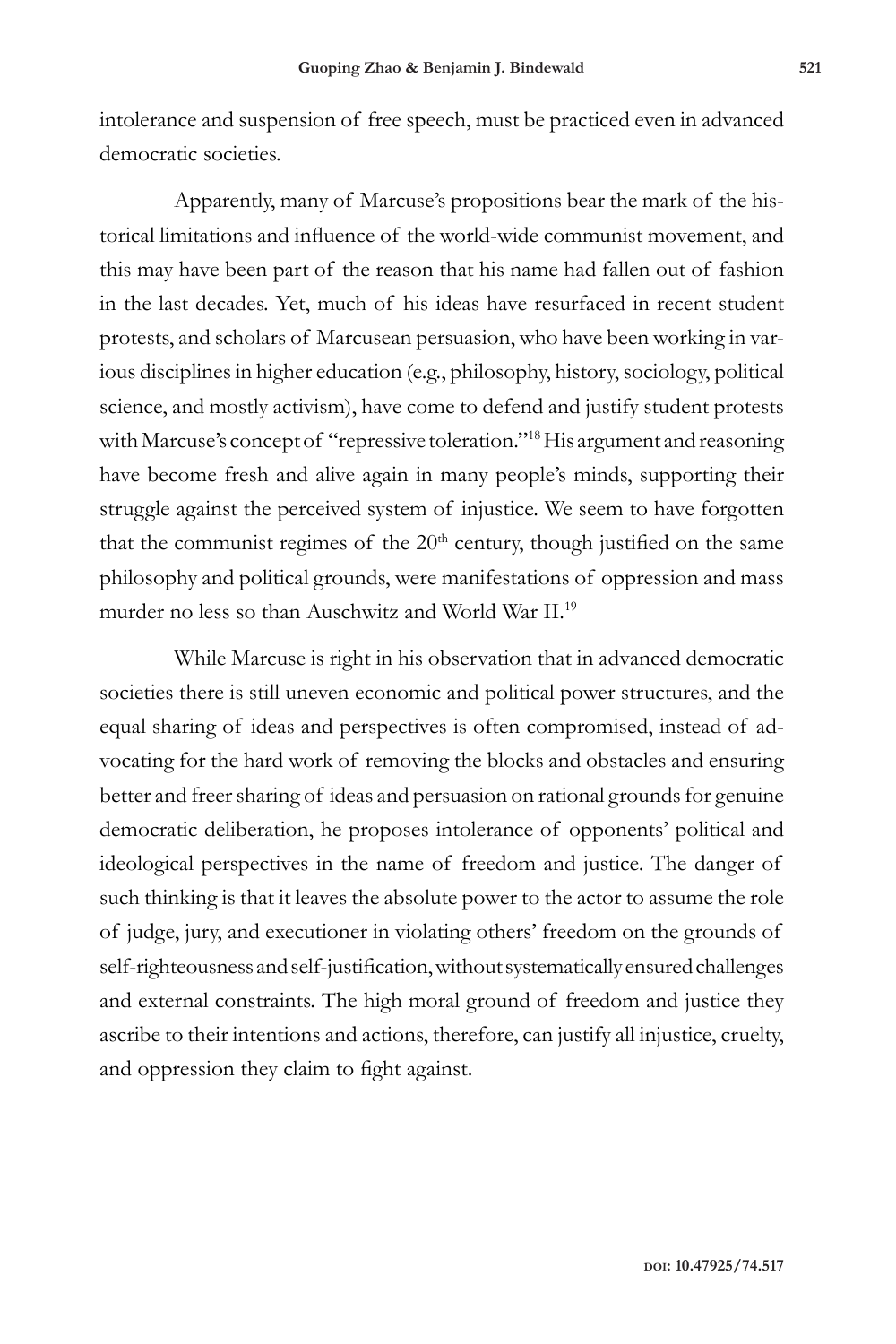intolerance and suspension of free speech, must be practiced even in advanced democratic societies.

Apparently, many of Marcuse's propositions bear the mark of the historical limitations and influence of the world-wide communist movement, and this may have been part of the reason that his name had fallen out of fashion in the last decades. Yet, much of his ideas have resurfaced in recent student protests, and scholars of Marcusean persuasion, who have been working in various disciplines in higher education (e.g., philosophy, history, sociology, political science, and mostly activism), have come to defend and justify student protests with Marcuse's concept of "repressive toleration."18 His argument and reasoning have become fresh and alive again in many people's minds, supporting their struggle against the perceived system of injustice. We seem to have forgotten that the communist regimes of the 20<sup>th</sup> century, though justified on the same philosophy and political grounds, were manifestations of oppression and mass murder no less so than Auschwitz and World War II.19

While Marcuse is right in his observation that in advanced democratic societies there is still uneven economic and political power structures, and the equal sharing of ideas and perspectives is often compromised, instead of advocating for the hard work of removing the blocks and obstacles and ensuring better and freer sharing of ideas and persuasion on rational grounds for genuine democratic deliberation, he proposes intolerance of opponents' political and ideological perspectives in the name of freedom and justice. The danger of such thinking is that it leaves the absolute power to the actor to assume the role of judge, jury, and executioner in violating others' freedom on the grounds of self-righteousness and self-justification, without systematically ensured challenges and external constraints. The high moral ground of freedom and justice they ascribe to their intentions and actions, therefore, can justify all injustice, cruelty, and oppression they claim to fight against.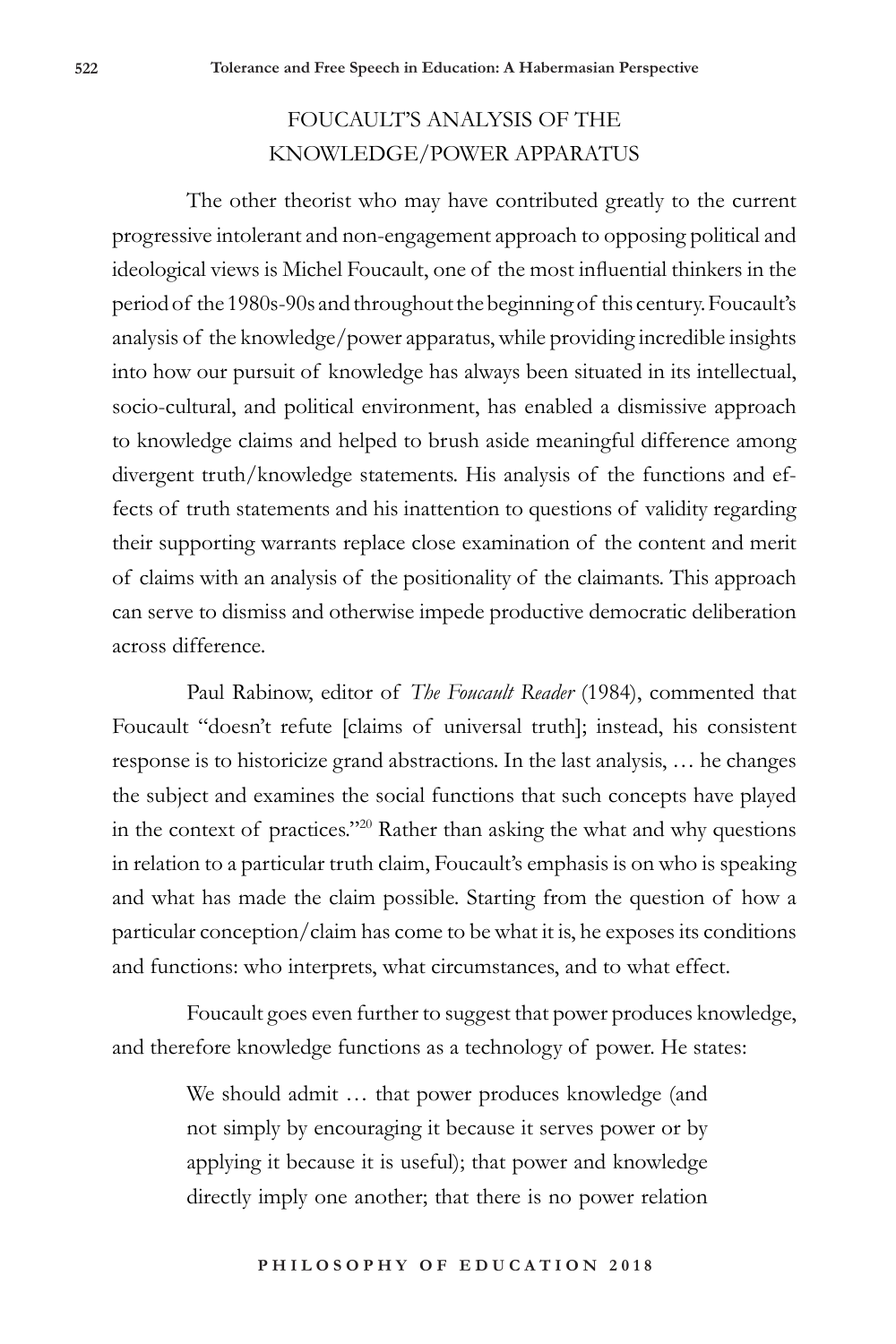## FOUCAULT'S ANALYSIS OF THE KNOWLEDGE/POWER APPARATUS

The other theorist who may have contributed greatly to the current progressive intolerant and non-engagement approach to opposing political and ideological views is Michel Foucault, one of the most influential thinkers in the period of the 1980s-90s and throughout the beginning of this century. Foucault's analysis of the knowledge/power apparatus, while providing incredible insights into how our pursuit of knowledge has always been situated in its intellectual, socio-cultural, and political environment, has enabled a dismissive approach to knowledge claims and helped to brush aside meaningful difference among divergent truth/knowledge statements. His analysis of the functions and effects of truth statements and his inattention to questions of validity regarding their supporting warrants replace close examination of the content and merit of claims with an analysis of the positionality of the claimants. This approach can serve to dismiss and otherwise impede productive democratic deliberation across difference.

Paul Rabinow, editor of *The Foucault Reader* (1984), commented that Foucault "doesn't refute [claims of universal truth]; instead, his consistent response is to historicize grand abstractions. In the last analysis, … he changes the subject and examines the social functions that such concepts have played in the context of practices."20 Rather than asking the what and why questions in relation to a particular truth claim, Foucault's emphasis is on who is speaking and what has made the claim possible. Starting from the question of how a particular conception/claim has come to be what it is, he exposes its conditions and functions: who interprets, what circumstances, and to what effect.

Foucault goes even further to suggest that power produces knowledge, and therefore knowledge functions as a technology of power. He states:

> We should admit … that power produces knowledge (and not simply by encouraging it because it serves power or by applying it because it is useful); that power and knowledge directly imply one another; that there is no power relation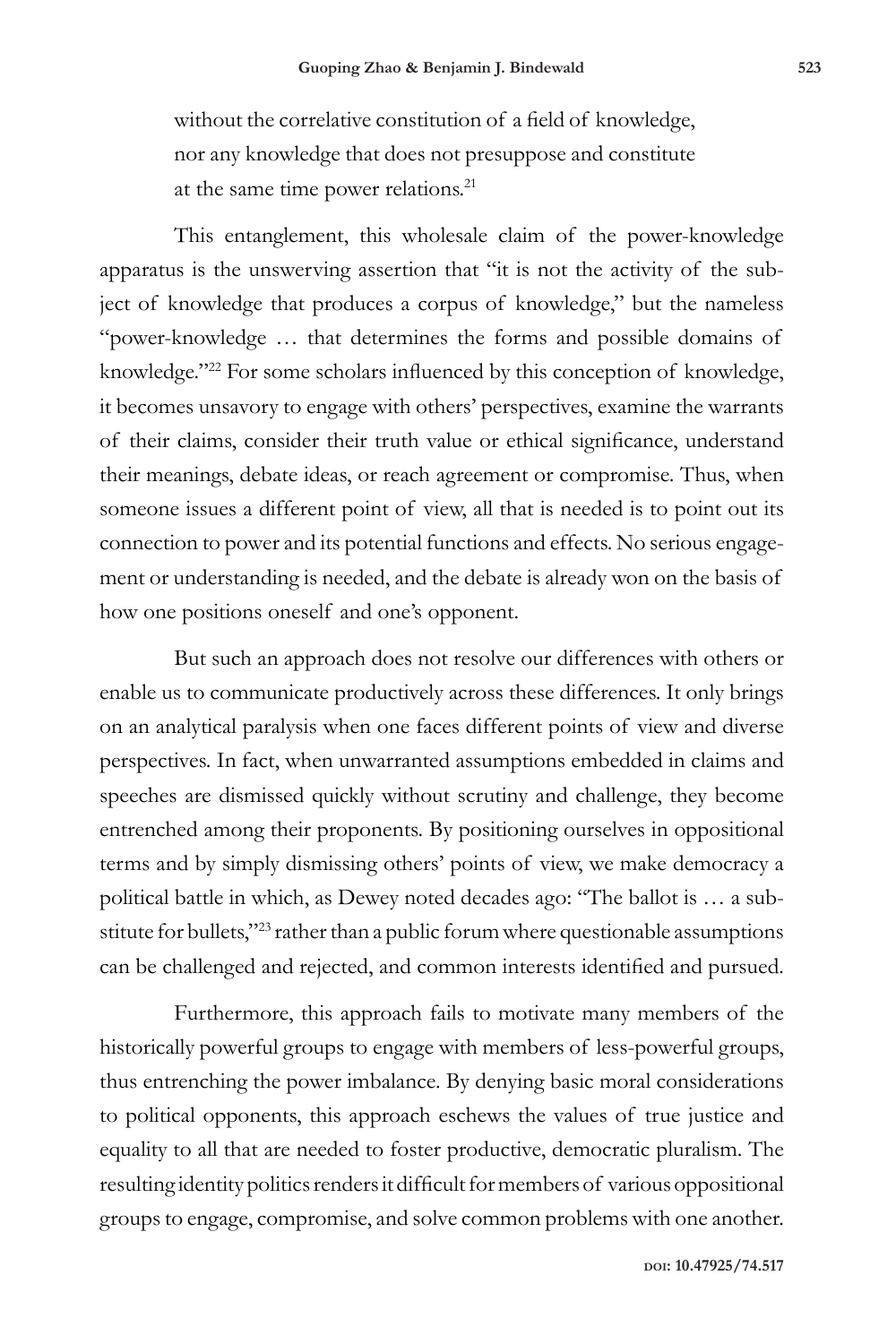without the correlative constitution of a field of knowledge, nor any knowledge that does not presuppose and constitute at the same time power relations.21

This entanglement, this wholesale claim of the power-knowledge apparatus is the unswerving assertion that "it is not the activity of the subject of knowledge that produces a corpus of knowledge," but the nameless "power-knowledge … that determines the forms and possible domains of knowledge."22 For some scholars influenced by this conception of knowledge, it becomes unsavory to engage with others' perspectives, examine the warrants of their claims, consider their truth value or ethical significance, understand their meanings, debate ideas, or reach agreement or compromise. Thus, when someone issues a different point of view, all that is needed is to point out its connection to power and its potential functions and effects. No serious engagement or understanding is needed, and the debate is already won on the basis of how one positions oneself and one's opponent.

But such an approach does not resolve our differences with others or enable us to communicate productively across these differences. It only brings on an analytical paralysis when one faces different points of view and diverse perspectives. In fact, when unwarranted assumptions embedded in claims and speeches are dismissed quickly without scrutiny and challenge, they become entrenched among their proponents. By positioning ourselves in oppositional terms and by simply dismissing others' points of view, we make democracy a political battle in which, as Dewey noted decades ago: "The ballot is … a substitute for bullets,"23 rather than a public forum where questionable assumptions can be challenged and rejected, and common interests identified and pursued.

Furthermore, this approach fails to motivate many members of the historically powerful groups to engage with members of less-powerful groups, thus entrenching the power imbalance. By denying basic moral considerations to political opponents, this approach eschews the values of true justice and equality to all that are needed to foster productive, democratic pluralism. The resulting identity politics renders it difficult for members of various oppositional groups to engage, compromise, and solve common problems with one another.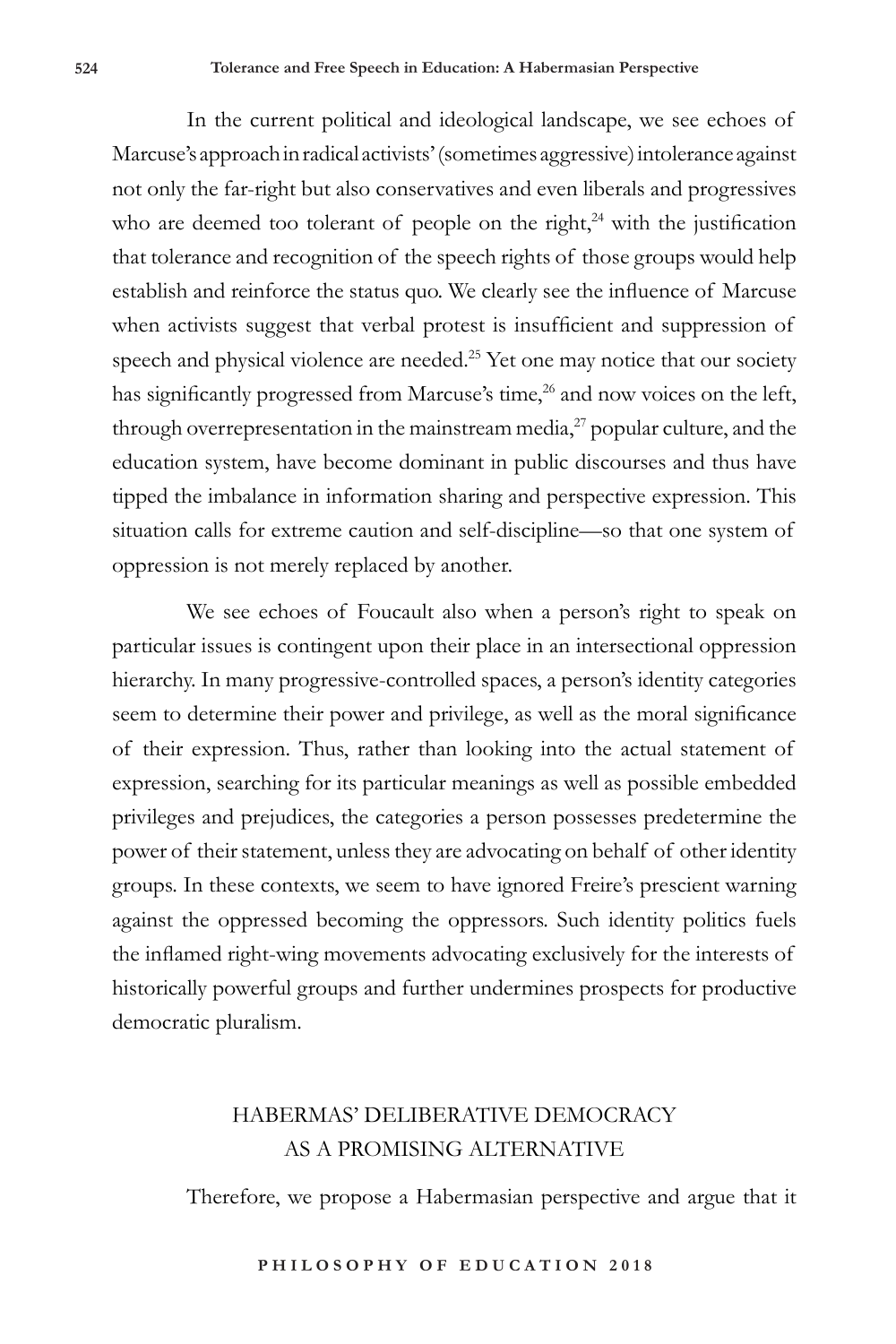In the current political and ideological landscape, we see echoes of Marcuse's approach in radical activists' (sometimes aggressive) intolerance against not only the far-right but also conservatives and even liberals and progressives who are deemed too tolerant of people on the right, $24$  with the justification that tolerance and recognition of the speech rights of those groups would help establish and reinforce the status quo. We clearly see the influence of Marcuse when activists suggest that verbal protest is insufficient and suppression of speech and physical violence are needed.25 Yet one may notice that our society has significantly progressed from Marcuse's time,<sup>26</sup> and now voices on the left, through overrepresentation in the mainstream media, $^{27}$  popular culture, and the education system, have become dominant in public discourses and thus have tipped the imbalance in information sharing and perspective expression. This situation calls for extreme caution and self-discipline—so that one system of oppression is not merely replaced by another.

We see echoes of Foucault also when a person's right to speak on particular issues is contingent upon their place in an intersectional oppression hierarchy. In many progressive-controlled spaces, a person's identity categories seem to determine their power and privilege, as well as the moral significance of their expression. Thus, rather than looking into the actual statement of expression, searching for its particular meanings as well as possible embedded privileges and prejudices, the categories a person possesses predetermine the power of their statement, unless they are advocating on behalf of other identity groups. In these contexts, we seem to have ignored Freire's prescient warning against the oppressed becoming the oppressors. Such identity politics fuels the inflamed right-wing movements advocating exclusively for the interests of historically powerful groups and further undermines prospects for productive democratic pluralism.

### HABERMAS' DELIBERATIVE DEMOCRACY AS A PROMISING ALTERNATIVE

Therefore, we propose a Habermasian perspective and argue that it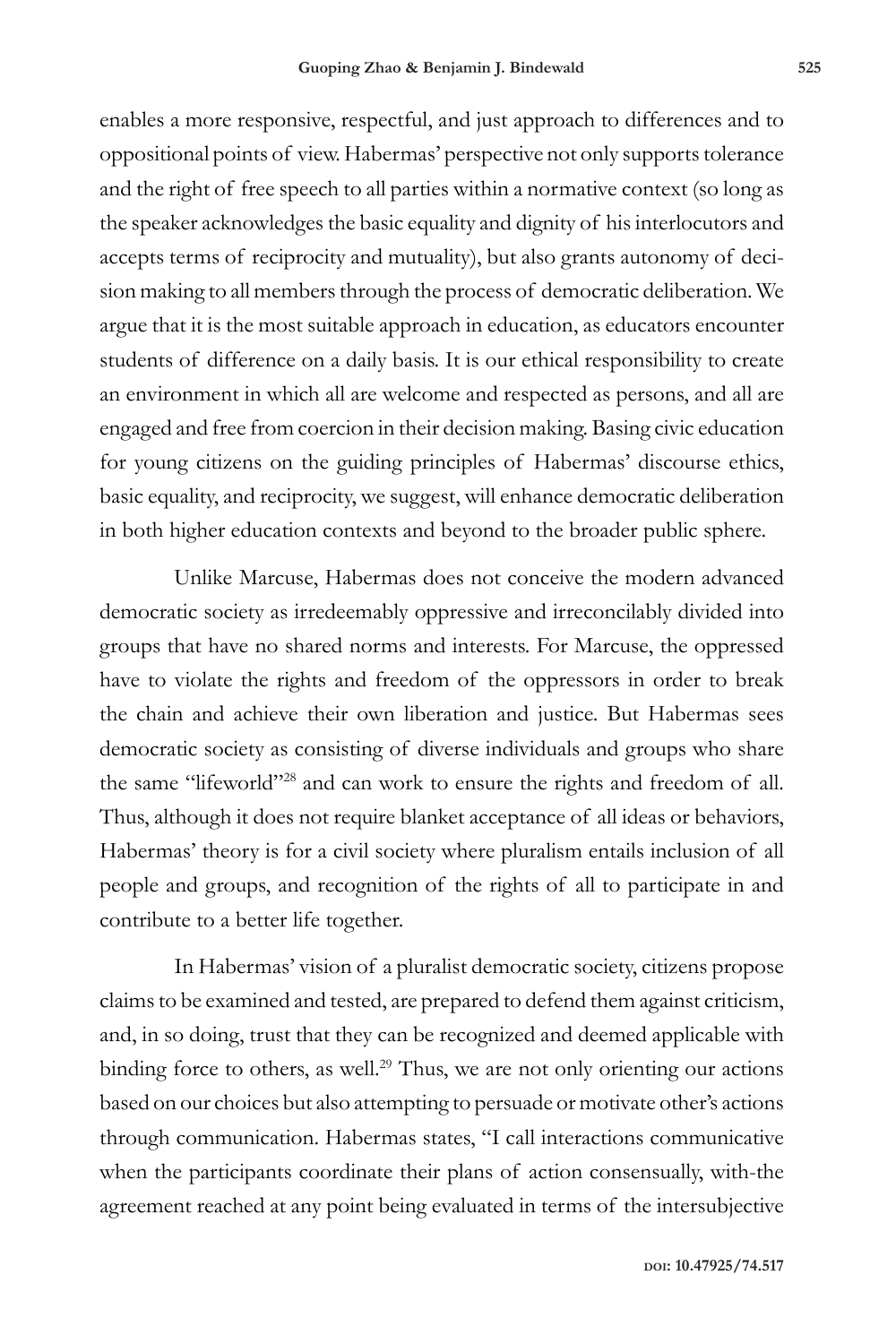enables a more responsive, respectful, and just approach to differences and to oppositional points of view. Habermas' perspective not only supports tolerance and the right of free speech to all parties within a normative context (so long as the speaker acknowledges the basic equality and dignity of his interlocutors and accepts terms of reciprocity and mutuality), but also grants autonomy of decision making to all members through the process of democratic deliberation. We argue that it is the most suitable approach in education, as educators encounter students of difference on a daily basis. It is our ethical responsibility to create an environment in which all are welcome and respected as persons, and all are engaged and free from coercion in their decision making. Basing civic education for young citizens on the guiding principles of Habermas' discourse ethics, basic equality, and reciprocity, we suggest, will enhance democratic deliberation in both higher education contexts and beyond to the broader public sphere.

Unlike Marcuse, Habermas does not conceive the modern advanced democratic society as irredeemably oppressive and irreconcilably divided into groups that have no shared norms and interests. For Marcuse, the oppressed have to violate the rights and freedom of the oppressors in order to break the chain and achieve their own liberation and justice. But Habermas sees democratic society as consisting of diverse individuals and groups who share the same "lifeworld"28 and can work to ensure the rights and freedom of all. Thus, although it does not require blanket acceptance of all ideas or behaviors, Habermas' theory is for a civil society where pluralism entails inclusion of all people and groups, and recognition of the rights of all to participate in and contribute to a better life together.

In Habermas' vision of a pluralist democratic society, citizens propose claims to be examined and tested, are prepared to defend them against criticism, and, in so doing, trust that they can be recognized and deemed applicable with binding force to others, as well.<sup>29</sup> Thus, we are not only orienting our actions based on our choices but also attempting to persuade or motivate other's actions through communication. Habermas states, "I call interactions communicative when the participants coordinate their plans of action consensually, with-the agreement reached at any point being evaluated in terms of the intersubjective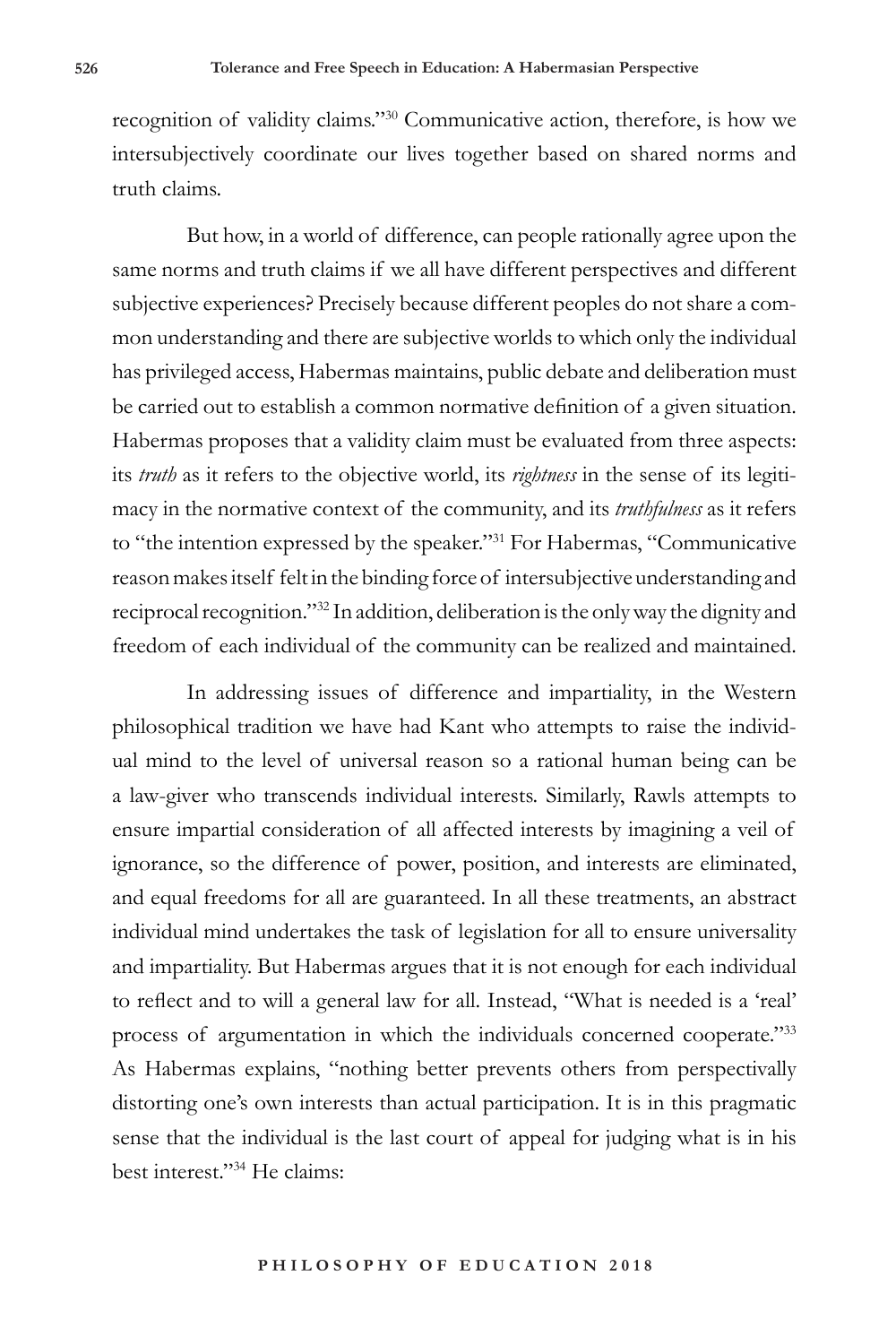recognition of validity claims."30 Communicative action, therefore, is how we intersubjectively coordinate our lives together based on shared norms and truth claims.

But how, in a world of difference, can people rationally agree upon the same norms and truth claims if we all have different perspectives and different subjective experiences? Precisely because different peoples do not share a common understanding and there are subjective worlds to which only the individual has privileged access, Habermas maintains, public debate and deliberation must be carried out to establish a common normative definition of a given situation. Habermas proposes that a validity claim must be evaluated from three aspects: its *truth* as it refers to the objective world, its *rightness* in the sense of its legitimacy in the normative context of the community, and its *truthfulness* as it refers to "the intention expressed by the speaker."<sup>31</sup> For Habermas, "Communicative reason makes itself felt in the binding force of intersubjective understanding and reciprocal recognition."32 In addition, deliberation is the only way the dignity and freedom of each individual of the community can be realized and maintained.

In addressing issues of difference and impartiality, in the Western philosophical tradition we have had Kant who attempts to raise the individual mind to the level of universal reason so a rational human being can be a law-giver who transcends individual interests. Similarly, Rawls attempts to ensure impartial consideration of all affected interests by imagining a veil of ignorance, so the difference of power, position, and interests are eliminated, and equal freedoms for all are guaranteed. In all these treatments, an abstract individual mind undertakes the task of legislation for all to ensure universality and impartiality. But Habermas argues that it is not enough for each individual to reflect and to will a general law for all. Instead, "What is needed is a 'real' process of argumentation in which the individuals concerned cooperate."33 As Habermas explains, "nothing better prevents others from perspectivally distorting one's own interests than actual participation. It is in this pragmatic sense that the individual is the last court of appeal for judging what is in his best interest."34 He claims: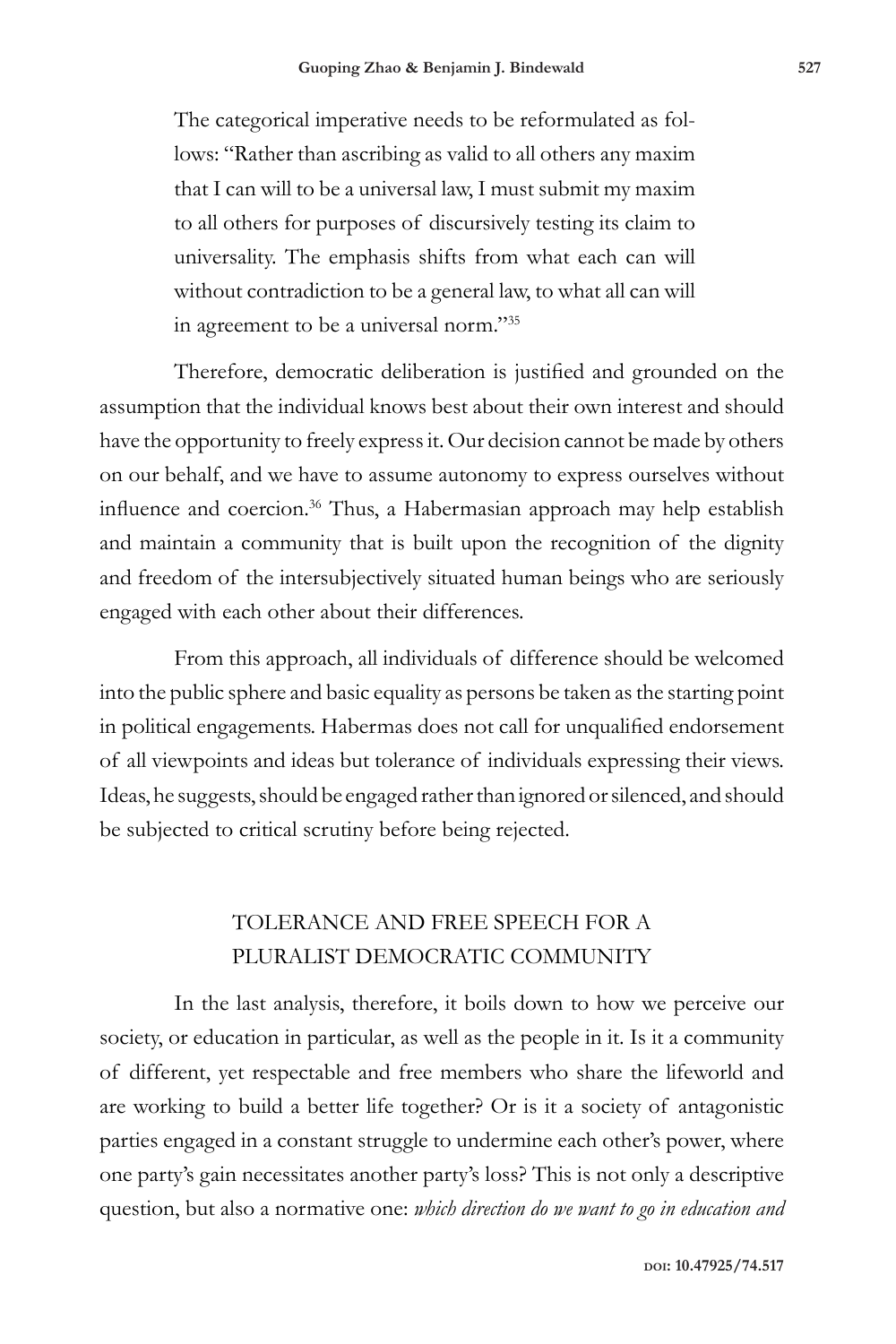The categorical imperative needs to be reformulated as follows: "Rather than ascribing as valid to all others any maxim that I can will to be a universal law, I must submit my maxim to all others for purposes of discursively testing its claim to universality. The emphasis shifts from what each can will without contradiction to be a general law, to what all can will in agreement to be a universal norm."35

Therefore, democratic deliberation is justified and grounded on the assumption that the individual knows best about their own interest and should have the opportunity to freely express it. Our decision cannot be made by others on our behalf, and we have to assume autonomy to express ourselves without influence and coercion.<sup>36</sup> Thus, a Habermasian approach may help establish and maintain a community that is built upon the recognition of the dignity and freedom of the intersubjectively situated human beings who are seriously engaged with each other about their differences.

From this approach, all individuals of difference should be welcomed into the public sphere and basic equality as persons be taken as the starting point in political engagements. Habermas does not call for unqualified endorsement of all viewpoints and ideas but tolerance of individuals expressing their views. Ideas, he suggests, should be engaged rather than ignored or silenced, and should be subjected to critical scrutiny before being rejected.

### TOLERANCE AND FREE SPEECH FOR A PLURALIST DEMOCRATIC COMMUNITY

In the last analysis, therefore, it boils down to how we perceive our society, or education in particular, as well as the people in it. Is it a community of different, yet respectable and free members who share the lifeworld and are working to build a better life together? Or is it a society of antagonistic parties engaged in a constant struggle to undermine each other's power, where one party's gain necessitates another party's loss? This is not only a descriptive question, but also a normative one: *which direction do we want to go in education and*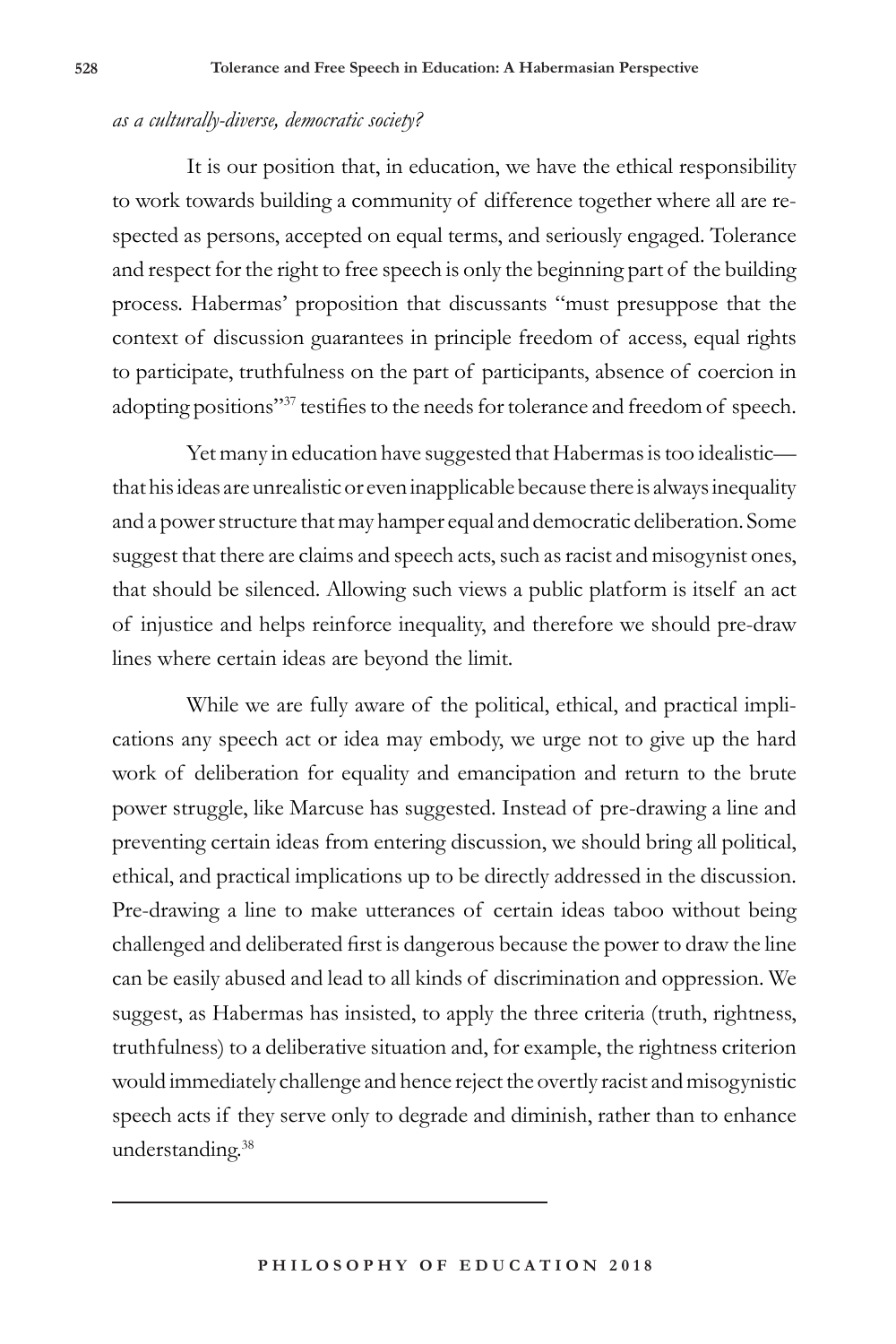#### *as a culturally-diverse, democratic society?*

It is our position that, in education, we have the ethical responsibility to work towards building a community of difference together where all are respected as persons, accepted on equal terms, and seriously engaged. Tolerance and respect for the right to free speech is only the beginning part of the building process. Habermas' proposition that discussants "must presuppose that the context of discussion guarantees in principle freedom of access, equal rights to participate, truthfulness on the part of participants, absence of coercion in adopting positions"37 testifies to the needs for tolerance and freedom of speech.

Yet many in education have suggested that Habermas is too idealistic that his ideas are unrealistic or even inapplicable because there is always inequality and a power structure that may hamper equal and democratic deliberation. Some suggest that there are claims and speech acts, such as racist and misogynist ones, that should be silenced. Allowing such views a public platform is itself an act of injustice and helps reinforce inequality, and therefore we should pre-draw lines where certain ideas are beyond the limit.

While we are fully aware of the political, ethical, and practical implications any speech act or idea may embody, we urge not to give up the hard work of deliberation for equality and emancipation and return to the brute power struggle, like Marcuse has suggested. Instead of pre-drawing a line and preventing certain ideas from entering discussion, we should bring all political, ethical, and practical implications up to be directly addressed in the discussion. Pre-drawing a line to make utterances of certain ideas taboo without being challenged and deliberated first is dangerous because the power to draw the line can be easily abused and lead to all kinds of discrimination and oppression. We suggest, as Habermas has insisted, to apply the three criteria (truth, rightness, truthfulness) to a deliberative situation and, for example, the rightness criterion would immediately challenge and hence reject the overtly racist and misogynistic speech acts if they serve only to degrade and diminish, rather than to enhance understanding.<sup>38</sup>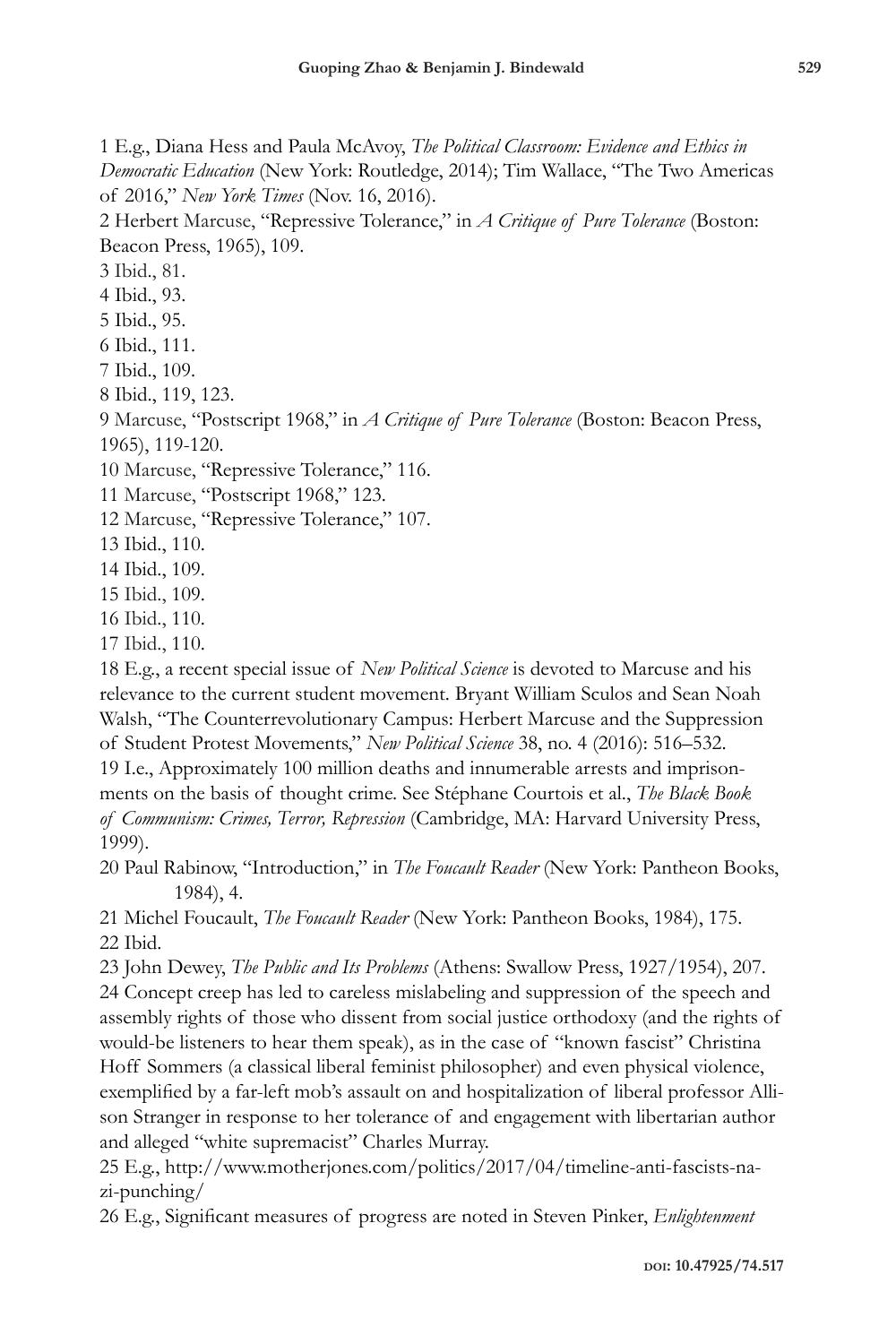1 E.g., Diana Hess and Paula McAvoy, *The Political Classroom: Evidence and Ethics in Democratic Education* (New York: Routledge, 2014); Tim Wallace, "The Two Americas of 2016," *New York Times* (Nov. 16, 2016).

2 Herbert Marcuse, "Repressive Tolerance," in *A Critique of Pure Tolerance* (Boston: Beacon Press, 1965), 109.

3 Ibid., 81.

4 Ibid., 93.

5 Ibid., 95.

6 Ibid., 111.

7 Ibid., 109.

8 Ibid., 119, 123.

9 Marcuse, "Postscript 1968," in *A Critique of Pure Tolerance* (Boston: Beacon Press, 1965), 119-120.

10 Marcuse, "Repressive Tolerance," 116.

11 Marcuse, "Postscript 1968," 123.

12 Marcuse, "Repressive Tolerance," 107.

13 Ibid., 110.

14 Ibid., 109.

15 Ibid., 109.

16 Ibid., 110.

17 Ibid., 110.

18 E.g., a recent special issue of *New Political Science* is devoted to Marcuse and his relevance to the current student movement. Bryant William Sculos and Sean Noah Walsh, "The Counterrevolutionary Campus: Herbert Marcuse and the Suppression of Student Protest Movements," *New Political Science* 38, no. 4 (2016): 516–532.

19 I.e., Approximately 100 million deaths and innumerable arrests and imprisonments on the basis of thought crime. See Stéphane Courtois et al., *The Black Book of Communism: Crimes, Terror, Repression* (Cambridge, MA: Harvard University Press, 1999).

20 Paul Rabinow, "Introduction," in *The Foucault Reader* (New York: Pantheon Books, 1984), 4.

21 Michel Foucault, *The Foucault Reader* (New York: Pantheon Books, 1984), 175. 22 Ibid.

23 John Dewey, *The Public and Its Problems* (Athens: Swallow Press, 1927/1954), 207.

24 Concept creep has led to careless mislabeling and suppression of the speech and assembly rights of those who dissent from social justice orthodoxy (and the rights of would-be listeners to hear them speak), as in the case of "known fascist" Christina Hoff Sommers (a classical liberal feminist philosopher) and even physical violence, exemplified by a far-left mob's assault on and hospitalization of liberal professor Allison Stranger in response to her tolerance of and engagement with libertarian author and alleged "white supremacist" Charles Murray.

25 E.g., http://www.motherjones.com/politics/2017/04/timeline-anti-fascists-nazi-punching/

26 E.g., Significant measures of progress are noted in Steven Pinker, *Enlightenment*